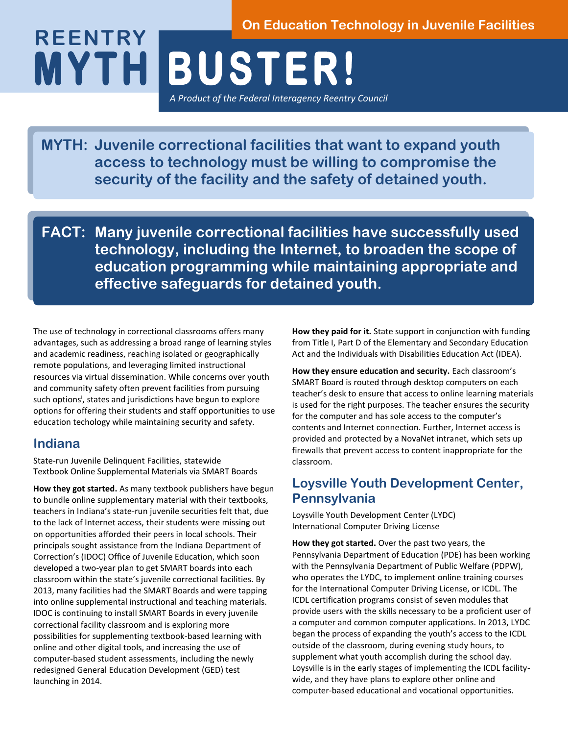#### **On Education Technology in Juvenile Facilities**

**M Y T H B U S T E R!**  *A Product of the Federal Interagency Reentry Council* **REENTRY**

**MYTH: Juvenile correctional facilities that want to expand youth access to technology must be willing to compromise the security of the facility and the safety of detained youth.**

**FACT: Many juvenile correctional facilities have successfully used technology, including the Internet, to broaden the scope of education programming while maintaining appropriate and effective safeguards for detained youth.** 

The use of technology in correctional classrooms offers many advantages, such as addressing a broad range of learning styles and academic readiness, reaching isolated or geographically remote populations, and leveraging limited instructional resources via virtual dissemination. While concerns over youth and community safety often prevent facilities from pursuing such options<sup>i</sup>, states and jurisdictions have begun to explore options for offering their students and staff opportunities to use education techology while maintaining security and safety.

#### **Indiana**

State-run Juvenile Delinquent Facilities, statewide Textbook Online Supplemental Materials via SMART Boards

**How they got started.** As many textbook publishers have begun to bundle online supplementary material with their textbooks, teachers in Indiana's state-run juvenile securities felt that, due to the lack of Internet access, their students were missing out on opportunities afforded their peers in local schools. Their principals sought assistance from the Indiana Department of Correction's (IDOC) Office of Juvenile Education, which soon developed a two-year plan to get SMART boards into each classroom within the state's juvenile correctional facilities. By 2013, many facilities had the SMART Boards and were tapping into online supplemental instructional and teaching materials. IDOC is continuing to install SMART Boards in every juvenile correctional facility classroom and is exploring more possibilities for supplementing textbook-based learning with online and other digital tools, and increasing the use of computer-based student assessments, including the newly redesigned General Education Development (GED) test launching in 2014.

**How they paid for it.** State support in conjunction with funding from Title I, Part D of the Elementary and Secondary Education Act and the Individuals with Disabilities Education Act (IDEA).

**How they ensure education and security.** Each classroom's SMART Board is routed through desktop computers on each teacher's desk to ensure that access to online learning materials is used for the right purposes. The teacher ensures the security for the computer and has sole access to the computer's contents and Internet connection. Further, Internet access is provided and protected by a NovaNet intranet, which sets up firewalls that prevent access to content inappropriate for the classroom.

## **Loysville Youth Development Center, Pennsylvania**

Loysville Youth Development Center (LYDC) International Computer Driving License

**How they got started.** Over the past two years, the Pennsylvania Department of Education (PDE) has been working with the Pennsylvania Department of Public Welfare (PDPW), who operates the LYDC, to implement online training courses for the International Computer Driving License, or ICDL. The ICDL certification programs consist of seven modules that provide users with the skills necessary to be a proficient user of a computer and common computer applications. In 2013, LYDC began the process of expanding the youth's access to the ICDL outside of the classroom, during evening study hours, to supplement what youth accomplish during the school day. Loysville is in the early stages of implementing the ICDL facilitywide, and they have plans to explore other online and computer-based educational and vocational opportunities.